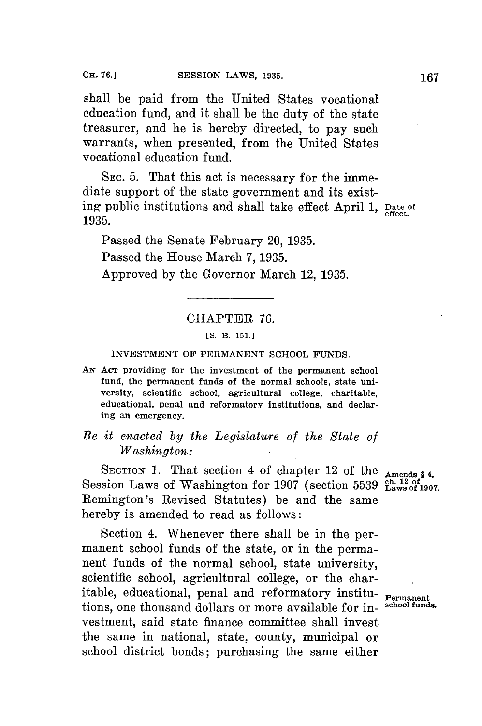shall be paid from the United States vocational education fund, and it shall be the duty of the state treasurer, and he is hereby directed, to pay such warrants, when presented, from the United States vocational education fund.

SEC. **5.** That this act is necessary for the immediate support of the state government and its existing public institutions and shall take effect April **1, Date of** 1935.

Passed the Senate February 20, **1935.** Passed the House March **7, 1935.** Approved **by** the Governor March 12, **1935.**

## CHAPTER **76.**

## *[S.* **B. 151.]**

## **INVESTMENT OF PERMANENT SCHOOL FUNDS.**

*AN* AcT providing for the investment of the permanent school fund, the permanent funds of the normal schools, state university, scientific school, agricultural college, charitable, educational, penal and reformatory institutions, and declaring an emergency.

## *Be it enacted by the Legislature of the State of Washington.:*

SECTION 1. That section 4 of chapter 12 of the **Amends \$4**, Session Laws of Washington for 1907 (section 5539  $\frac{\text{ch}}{\text{Laws of 1907}}$ . Remington's Revised Statutes) be and the same hereby is amended to read as follows:

Section 4. Whenever there shall be in the permanent school funds of the state, or in the permanent funds of the normal school, state university, scientific school, agricultural college, or the charitable, educational, penal and reformatory institutions, one thousand dollars or more available for investment, said state finance committee shall invest the same in national, state, county, municipal or school district bonds; purchasing the same either